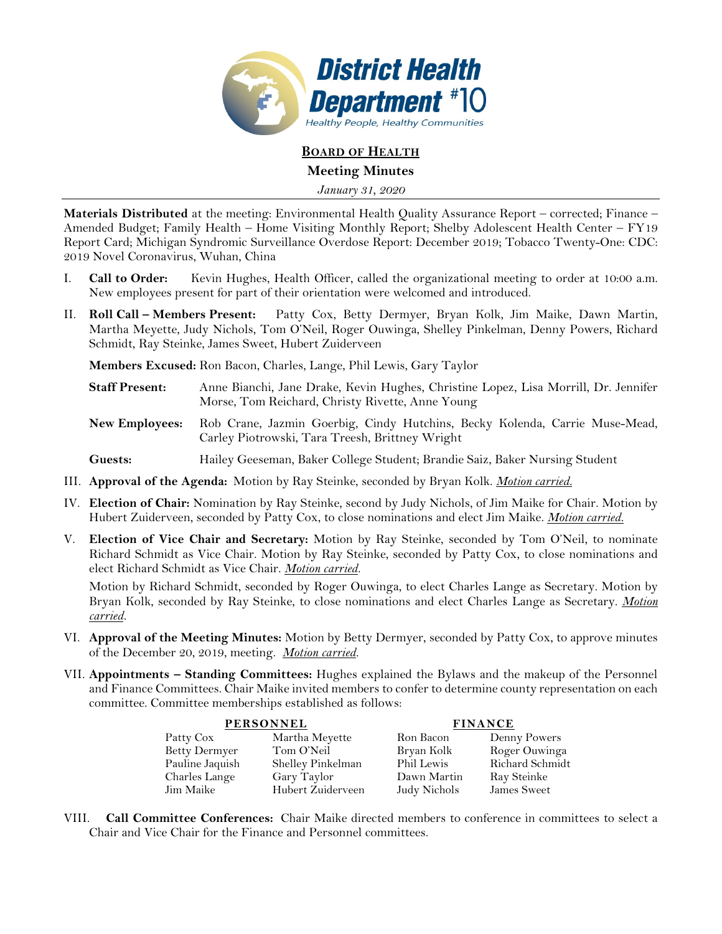

**BOARD OF HEALTH Meeting Minutes** 

*January 31, 2020* 

**Materials Distributed** at the meeting: Environmental Health Quality Assurance Report – corrected; Finance – Amended Budget; Family Health – Home Visiting Monthly Report; Shelby Adolescent Health Center – FY19 Report Card; Michigan Syndromic Surveillance Overdose Report: December 2019; Tobacco Twenty-One: CDC: 2019 Novel Coronavirus, Wuhan, China

- I. **Call to Order:** Kevin Hughes, Health Officer, called the organizational meeting to order at 10:00 a.m. New employees present for part of their orientation were welcomed and introduced.
- II. **Roll Call Members Present:** Patty Cox, Betty Dermyer, Bryan Kolk, Jim Maike, Dawn Martin, Martha Meyette, Judy Nichols, Tom O'Neil, Roger Ouwinga, Shelley Pinkelman, Denny Powers, Richard Schmidt, Ray Steinke, James Sweet, Hubert Zuiderveen

**Members Excused:** Ron Bacon, Charles, Lange, Phil Lewis, Gary Taylor

- **Staff Present:** Anne Bianchi, Jane Drake, Kevin Hughes, Christine Lopez, Lisa Morrill, Dr. Jennifer Morse, Tom Reichard, Christy Rivette, Anne Young
- **New Employees:** Rob Crane, Jazmin Goerbig, Cindy Hutchins, Becky Kolenda, Carrie Muse-Mead, Carley Piotrowski, Tara Treesh, Brittney Wright
- **Guests:** Hailey Geeseman, Baker College Student; Brandie Saiz, Baker Nursing Student
- III. **Approval of the Agenda:** Motion by Ray Steinke, seconded by Bryan Kolk. *Motion carried.*
- IV. **Election of Chair:** Nomination by Ray Steinke, second by Judy Nichols, of Jim Maike for Chair. Motion by Hubert Zuiderveen, seconded by Patty Cox, to close nominations and elect Jim Maike. *Motion carried.*
- V. **Election of Vice Chair and Secretary:** Motion by Ray Steinke, seconded by Tom O'Neil, to nominate Richard Schmidt as Vice Chair. Motion by Ray Steinke, seconded by Patty Cox, to close nominations and elect Richard Schmidt as Vice Chair. *Motion carried.*

Motion by Richard Schmidt, seconded by Roger Ouwinga, to elect Charles Lange as Secretary. Motion by Bryan Kolk, seconded by Ray Steinke, to close nominations and elect Charles Lange as Secretary. *Motion carried.*

- VI. **Approval of the Meeting Minutes:** Motion by Betty Dermyer, seconded by Patty Cox, to approve minutes of the December 20, 2019, meeting. *Motion carried.*
- VII. **Appointments Standing Committees:** Hughes explained the Bylaws and the makeup of the Personnel and Finance Committees. Chair Maike invited members to confer to determine county representation on each committee. Committee memberships established as follows:

|                 | <b>PERSONNEL</b>  | <b>FINANCE</b> |                 |  |
|-----------------|-------------------|----------------|-----------------|--|
| Patty Cox       | Martha Meyette    | Ron Bacon      | Denny Powers    |  |
| Betty Dermyer   | Tom O'Neil        | Bryan Kolk     | Roger Ouwinga   |  |
| Pauline Jaquish | Shelley Pinkelman | Phil Lewis     | Richard Schmidt |  |
| Charles Lange   | Gary Taylor       | Dawn Martin    | Ray Steinke     |  |
| Jim Maike       | Hubert Zuiderveen | Judy Nichols   | James Sweet     |  |

VIII. **Call Committee Conferences:** Chair Maike directed members to conference in committees to select a Chair and Vice Chair for the Finance and Personnel committees.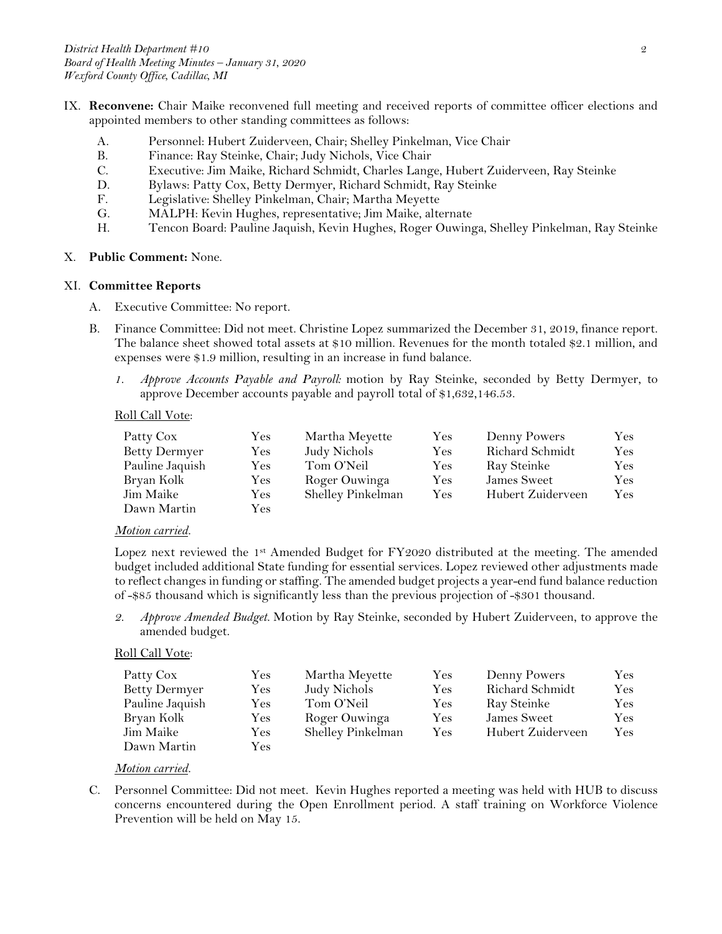- IX. **Reconvene:** Chair Maike reconvened full meeting and received reports of committee officer elections and appointed members to other standing committees as follows:
	- A. Personnel: Hubert Zuiderveen, Chair; Shelley Pinkelman, Vice Chair
	- B. Finance: Ray Steinke, Chair; Judy Nichols, Vice Chair
	- C. Executive: Jim Maike, Richard Schmidt, Charles Lange, Hubert Zuiderveen, Ray Steinke
	- D. Bylaws: Patty Cox, Betty Dermyer, Richard Schmidt, Ray Steinke
	- F. Legislative: Shelley Pinkelman, Chair; Martha Meyette
	- G. MALPH: Kevin Hughes, representative; Jim Maike, alternate
	- H. Tencon Board: Pauline Jaquish, Kevin Hughes, Roger Ouwinga, Shelley Pinkelman, Ray Steinke
- X. **Public Comment:** None.

### XI. **Committee Reports**

- A. Executive Committee: No report.
- B. Finance Committee: Did not meet. Christine Lopez summarized the December 31, 2019, finance report. The balance sheet showed total assets at \$10 million. Revenues for the month totaled \$2.1 million, and expenses were \$1.9 million, resulting in an increase in fund balance.
	- *1. Approve Accounts Payable and Payroll:* motion by Ray Steinke, seconded by Betty Dermyer, to approve December accounts payable and payroll total of \$1,632,146.53.

### Roll Call Vote:

| Patty Cox            | Yes       | Martha Meyette    | Yes | Denny Powers      | Yes |
|----------------------|-----------|-------------------|-----|-------------------|-----|
| <b>Betty Dermyer</b> | $\rm Yes$ | Judy Nichols      | Yes | Richard Schmidt   | Yes |
| Pauline Jaquish      | Yes.      | Tom O'Neil        | Yes | Ray Steinke       | Yes |
| Bryan Kolk           | Yes.      | Roger Ouwinga     | Yes | James Sweet       | Yes |
| Jim Maike            | $\rm Yes$ | Shelley Pinkelman | Yes | Hubert Zuiderveen | Yes |
| Dawn Martin          | Yes       |                   |     |                   |     |

### *Motion carried.*

Lopez next reviewed the 1st Amended Budget for FY2020 distributed at the meeting. The amended budget included additional State funding for essential services. Lopez reviewed other adjustments made to reflect changes in funding or staffing. The amended budget projects a year-end fund balance reduction of -\$85 thousand which is significantly less than the previous projection of -\$301 thousand.

*2. Approve Amended Budget.* Motion by Ray Steinke, seconded by Hubert Zuiderveen, to approve the amended budget.

### Roll Call Vote:

| Patty Cox            | Yes       | Martha Meyette    | Yes        | Denny Powers      | Yes  |
|----------------------|-----------|-------------------|------------|-------------------|------|
| <b>Betty Dermyer</b> | $\rm Yes$ | Judy Nichols      | Yes        | Richard Schmidt   | Yes  |
| Pauline Jaquish      | $\rm Yes$ | Tom O'Neil        | Yes        | Ray Steinke       | Yes  |
| Bryan Kolk           | Yes.      | Roger Ouwinga     | <b>Yes</b> | James Sweet       | Yes. |
| Jim Maike            | $\rm Yes$ | Shelley Pinkelman | <b>Yes</b> | Hubert Zuiderveen | Yes. |
| Dawn Martin          | $\rm Yes$ |                   |            |                   |      |

### *Motion carried.*

C. Personnel Committee: Did not meet. Kevin Hughes reported a meeting was held with HUB to discuss concerns encountered during the Open Enrollment period. A staff training on Workforce Violence Prevention will be held on May 15.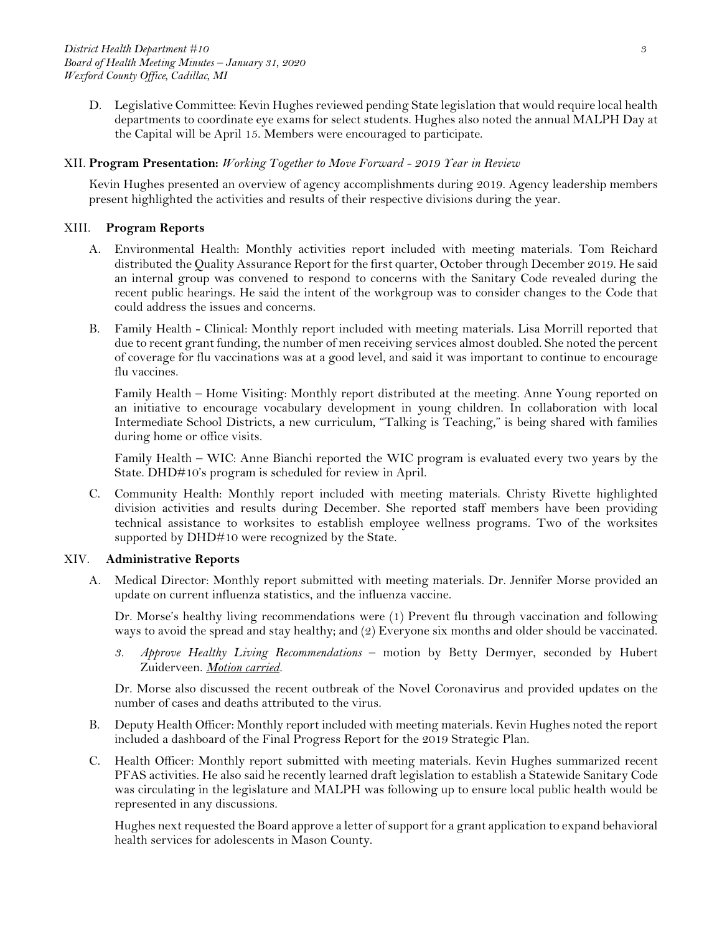D. Legislative Committee: Kevin Hughes reviewed pending State legislation that would require local health departments to coordinate eye exams for select students. Hughes also noted the annual MALPH Day at the Capital will be April 15. Members were encouraged to participate.

### XII. **Program Presentation:** *Working Together to Move Forward - 2019 Year in Review*

Kevin Hughes presented an overview of agency accomplishments during 2019. Agency leadership members present highlighted the activities and results of their respective divisions during the year.

### XIII. **Program Reports**

- A. Environmental Health: Monthly activities report included with meeting materials. Tom Reichard distributed the Quality Assurance Report for the first quarter, October through December 2019. He said an internal group was convened to respond to concerns with the Sanitary Code revealed during the recent public hearings. He said the intent of the workgroup was to consider changes to the Code that could address the issues and concerns.
- B. Family Health Clinical: Monthly report included with meeting materials. Lisa Morrill reported that due to recent grant funding, the number of men receiving services almost doubled. She noted the percent of coverage for flu vaccinations was at a good level, and said it was important to continue to encourage flu vaccines.

Family Health – Home Visiting: Monthly report distributed at the meeting. Anne Young reported on an initiative to encourage vocabulary development in young children. In collaboration with local Intermediate School Districts, a new curriculum, "Talking is Teaching," is being shared with families during home or office visits.

Family Health – WIC: Anne Bianchi reported the WIC program is evaluated every two years by the State. DHD#10's program is scheduled for review in April.

C. Community Health: Monthly report included with meeting materials. Christy Rivette highlighted division activities and results during December. She reported staff members have been providing technical assistance to worksites to establish employee wellness programs. Two of the worksites supported by DHD#10 were recognized by the State.

### XIV. **Administrative Reports**

A. Medical Director: Monthly report submitted with meeting materials. Dr. Jennifer Morse provided an update on current influenza statistics, and the influenza vaccine.

Dr. Morse's healthy living recommendations were (1) Prevent flu through vaccination and following ways to avoid the spread and stay healthy; and (2) Everyone six months and older should be vaccinated.

*3. Approve Healthy Living Recommendations* – motion by Betty Dermyer, seconded by Hubert Zuiderveen. *Motion carried.* 

Dr. Morse also discussed the recent outbreak of the Novel Coronavirus and provided updates on the number of cases and deaths attributed to the virus.

- B. Deputy Health Officer: Monthly report included with meeting materials. Kevin Hughes noted the report included a dashboard of the Final Progress Report for the 2019 Strategic Plan.
- C. Health Officer: Monthly report submitted with meeting materials. Kevin Hughes summarized recent PFAS activities. He also said he recently learned draft legislation to establish a Statewide Sanitary Code was circulating in the legislature and MALPH was following up to ensure local public health would be represented in any discussions.

Hughes next requested the Board approve a letter of support for a grant application to expand behavioral health services for adolescents in Mason County.